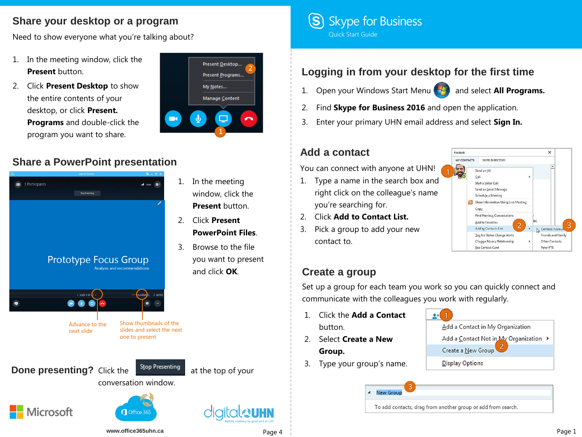## **Share your desktop or a program**

Need to show everyone what you're talking about?

- 1. In the meeting window, click the **Present** button.
- 2. Click **Present Desktop** to show the entire contents of your desktop, or click **Present. Programs** and double-click the program you want to share.



## **Share a PowerPoint presentation**



- 1. In the meeting window, click the **Present** button.
- 2. Click **Present PowerPoint Files**.
- 3. Browse to the file you want to present and click **OK**.



# **Logging in from your desktop for the first time**

- 1. Open your Windows Start Menu **(2)** and select **All Programs.**
- 2. Find **Skype for Business 2016** and open the application.
- 3. Enter your primary UHN email address and select **Sign In.**

#### **Add a contact**

You can connect with anyone at UHN!

- 1. Type a name in the search box and right click on the colleague's name you're searching for.
- 2. Click **Add to Contact List.**
- 3. Pick a group to add your new contact to.



## **Create a group**

Set up a group for each team you work so you can quickly connect and communicate with the colleagues you work with regularly.

- 1. Click the **Add a Contact**  button.
- 2. Select **Create a New Group.**
- 3. Type your group's name.



**New Group** To add contacts, drag from another group or add from search.

**www.office365uhn.ca** Page 4 Page 1